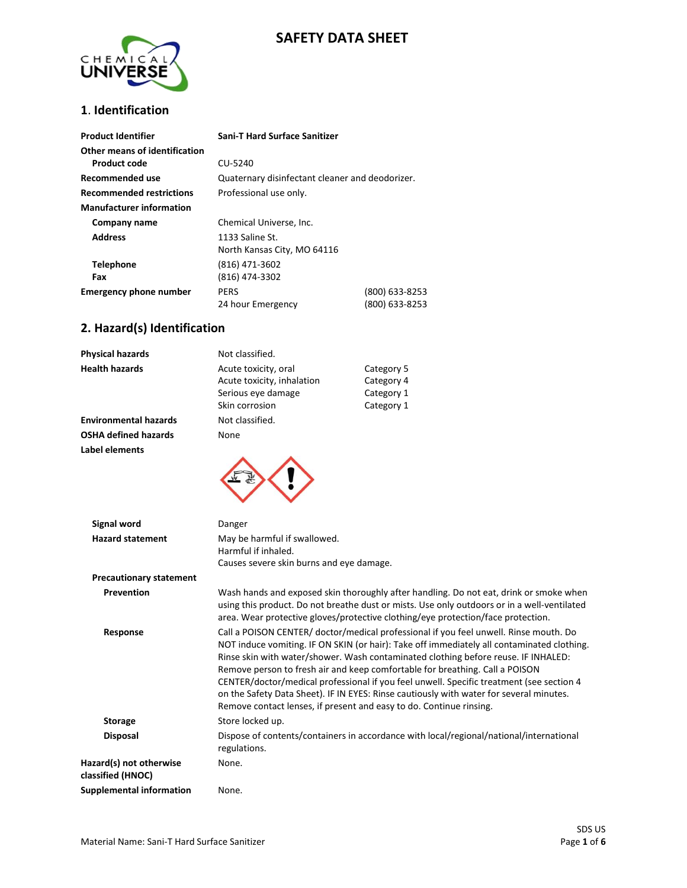### **SAFETY DATA SHEET**



#### **1**. **Identification**

| <b>Product Identifier</b>                     | <b>Sani-T Hard Surface Sanitizer</b>            |                                  |
|-----------------------------------------------|-------------------------------------------------|----------------------------------|
| Other means of identification<br>Product code | CU-5240                                         |                                  |
| Recommended use                               | Quaternary disinfectant cleaner and deodorizer. |                                  |
| <b>Recommended restrictions</b>               | Professional use only.                          |                                  |
| <b>Manufacturer information</b>               |                                                 |                                  |
| Company name                                  | Chemical Universe, Inc.                         |                                  |
| <b>Address</b>                                | 1133 Saline St.<br>North Kansas City, MO 64116  |                                  |
| <b>Telephone</b><br>Fax                       | (816) 471-3602<br>(816) 474-3302                |                                  |
| <b>Emergency phone number</b>                 | <b>PERS</b><br>24 hour Emergency                | (800) 633-8253<br>(800) 633-8253 |

#### **2. Hazard(s) Identification**

| <b>Physical hazards</b>      | Not classified.                                    |                          |
|------------------------------|----------------------------------------------------|--------------------------|
| <b>Health hazards</b>        | Acute toxicity, oral<br>Acute toxicity, inhalation | Category 5<br>Category 4 |
|                              | Serious eye damage                                 | Category 1               |
|                              | Skin corrosion                                     | Category 1               |
| <b>Environmental hazards</b> | Not classified.                                    |                          |
| <b>OSHA defined hazards</b>  | None                                               |                          |
| Label elements               |                                                    |                          |
|                              |                                                    |                          |



| Signal word                                  | Danger                                                                                                                                                                                                                                                                                                                                                                                                                                                                                                                                                                                                                  |
|----------------------------------------------|-------------------------------------------------------------------------------------------------------------------------------------------------------------------------------------------------------------------------------------------------------------------------------------------------------------------------------------------------------------------------------------------------------------------------------------------------------------------------------------------------------------------------------------------------------------------------------------------------------------------------|
| <b>Hazard statement</b>                      | May be harmful if swallowed.<br>Harmful if inhaled.<br>Causes severe skin burns and eye damage.                                                                                                                                                                                                                                                                                                                                                                                                                                                                                                                         |
| <b>Precautionary statement</b>               |                                                                                                                                                                                                                                                                                                                                                                                                                                                                                                                                                                                                                         |
| <b>Prevention</b>                            | Wash hands and exposed skin thoroughly after handling. Do not eat, drink or smoke when<br>using this product. Do not breathe dust or mists. Use only outdoors or in a well-ventilated<br>area. Wear protective gloves/protective clothing/eye protection/face protection.                                                                                                                                                                                                                                                                                                                                               |
| Response                                     | Call a POISON CENTER/ doctor/medical professional if you feel unwell. Rinse mouth. Do<br>NOT induce vomiting. IF ON SKIN (or hair): Take off immediately all contaminated clothing.<br>Rinse skin with water/shower. Wash contaminated clothing before reuse. IF INHALED:<br>Remove person to fresh air and keep comfortable for breathing. Call a POISON<br>CENTER/doctor/medical professional if you feel unwell. Specific treatment (see section 4<br>on the Safety Data Sheet). IF IN EYES: Rinse cautiously with water for several minutes.<br>Remove contact lenses, if present and easy to do. Continue rinsing. |
| <b>Storage</b>                               | Store locked up.                                                                                                                                                                                                                                                                                                                                                                                                                                                                                                                                                                                                        |
| <b>Disposal</b>                              | Dispose of contents/containers in accordance with local/regional/national/international<br>regulations.                                                                                                                                                                                                                                                                                                                                                                                                                                                                                                                 |
| Hazard(s) not otherwise<br>classified (HNOC) | None.                                                                                                                                                                                                                                                                                                                                                                                                                                                                                                                                                                                                                   |
| <b>Supplemental information</b>              | None.                                                                                                                                                                                                                                                                                                                                                                                                                                                                                                                                                                                                                   |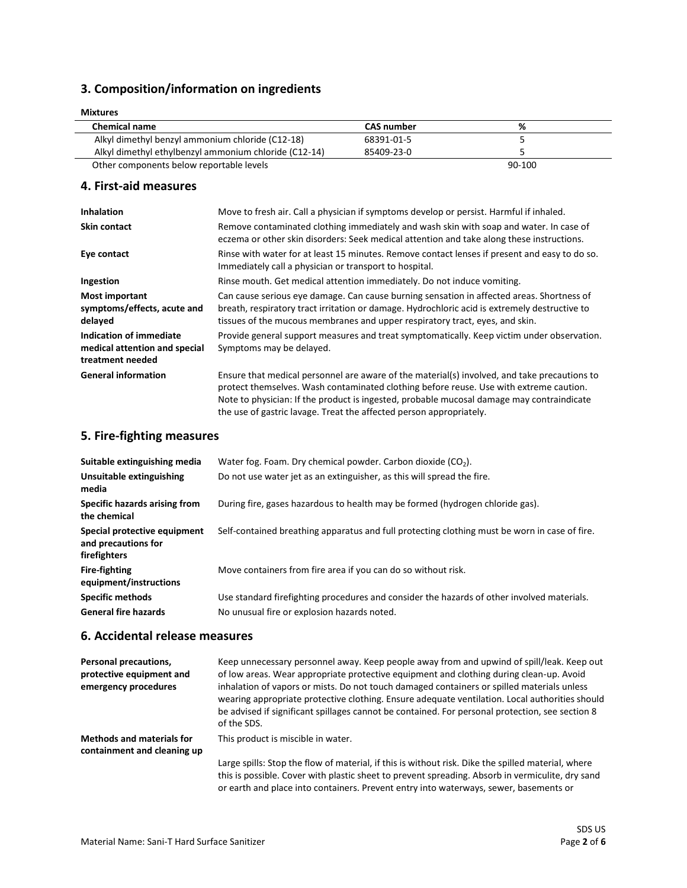### **3. Composition/information on ingredients**

| <b>Mixtures</b>                                       |                   |        |  |
|-------------------------------------------------------|-------------------|--------|--|
| <b>Chemical name</b>                                  | <b>CAS</b> number | %      |  |
| Alkyl dimethyl benzyl ammonium chloride (C12-18)      | 68391-01-5        |        |  |
| Alkyl dimethyl ethylbenzyl ammonium chloride (C12-14) | 85409-23-0        |        |  |
| Other components below reportable levels              |                   | 90-100 |  |

#### **4. First-aid measures**

| <b>Inhalation</b>                                                            | Move to fresh air. Call a physician if symptoms develop or persist. Harmful if inhaled.                                                                                                                                                                                                                                                                    |
|------------------------------------------------------------------------------|------------------------------------------------------------------------------------------------------------------------------------------------------------------------------------------------------------------------------------------------------------------------------------------------------------------------------------------------------------|
| <b>Skin contact</b>                                                          | Remove contaminated clothing immediately and wash skin with soap and water. In case of<br>eczema or other skin disorders: Seek medical attention and take along these instructions.                                                                                                                                                                        |
| Eye contact                                                                  | Rinse with water for at least 15 minutes. Remove contact lenses if present and easy to do so.<br>Immediately call a physician or transport to hospital.                                                                                                                                                                                                    |
| Ingestion                                                                    | Rinse mouth. Get medical attention immediately. Do not induce vomiting.                                                                                                                                                                                                                                                                                    |
| <b>Most important</b><br>symptoms/effects, acute and<br>delayed              | Can cause serious eye damage. Can cause burning sensation in affected areas. Shortness of<br>breath, respiratory tract irritation or damage. Hydrochloric acid is extremely destructive to<br>tissues of the mucous membranes and upper respiratory tract, eyes, and skin.                                                                                 |
| Indication of immediate<br>medical attention and special<br>treatment needed | Provide general support measures and treat symptomatically. Keep victim under observation.<br>Symptoms may be delayed.                                                                                                                                                                                                                                     |
| <b>General information</b>                                                   | Ensure that medical personnel are aware of the material(s) involved, and take precautions to<br>protect themselves. Wash contaminated clothing before reuse. Use with extreme caution.<br>Note to physician: If the product is ingested, probable mucosal damage may contraindicate<br>the use of gastric lavage. Treat the affected person appropriately. |

#### **5. Fire-fighting measures**

| Suitable extinguishing media                                        | Water fog. Foam. Dry chemical powder. Carbon dioxide $(CO2)$ .                                                                            |
|---------------------------------------------------------------------|-------------------------------------------------------------------------------------------------------------------------------------------|
| Unsuitable extinguishing<br>media                                   | Do not use water jet as an extinguisher, as this will spread the fire.                                                                    |
| Specific hazards arising from<br>the chemical                       | During fire, gases hazardous to health may be formed (hydrogen chloride gas).                                                             |
| Special protective equipment<br>and precautions for<br>firefighters | Self-contained breathing apparatus and full protecting clothing must be worn in case of fire.                                             |
| <b>Fire-fighting</b><br>equipment/instructions                      | Move containers from fire area if you can do so without risk.                                                                             |
| <b>Specific methods</b><br><b>General fire hazards</b>              | Use standard firefighting procedures and consider the hazards of other involved materials.<br>No unusual fire or explosion hazards noted. |

#### **6. Accidental release measures**

| Personal precautions,<br>protective equipment and<br>emergency procedures | Keep unnecessary personnel away. Keep people away from and upwind of spill/leak. Keep out<br>of low areas. Wear appropriate protective equipment and clothing during clean-up. Avoid<br>inhalation of vapors or mists. Do not touch damaged containers or spilled materials unless<br>wearing appropriate protective clothing. Ensure adequate ventilation. Local authorities should<br>be advised if significant spillages cannot be contained. For personal protection, see section 8<br>of the SDS. |
|---------------------------------------------------------------------------|--------------------------------------------------------------------------------------------------------------------------------------------------------------------------------------------------------------------------------------------------------------------------------------------------------------------------------------------------------------------------------------------------------------------------------------------------------------------------------------------------------|
| <b>Methods and materials for</b><br>containment and cleaning up           | This product is miscible in water.                                                                                                                                                                                                                                                                                                                                                                                                                                                                     |
|                                                                           | Large spills: Stop the flow of material, if this is without risk. Dike the spilled material, where<br>this is possible. Cover with plastic sheet to prevent spreading. Absorb in vermiculite, dry sand<br>or earth and place into containers. Prevent entry into waterways, sewer, basements or                                                                                                                                                                                                        |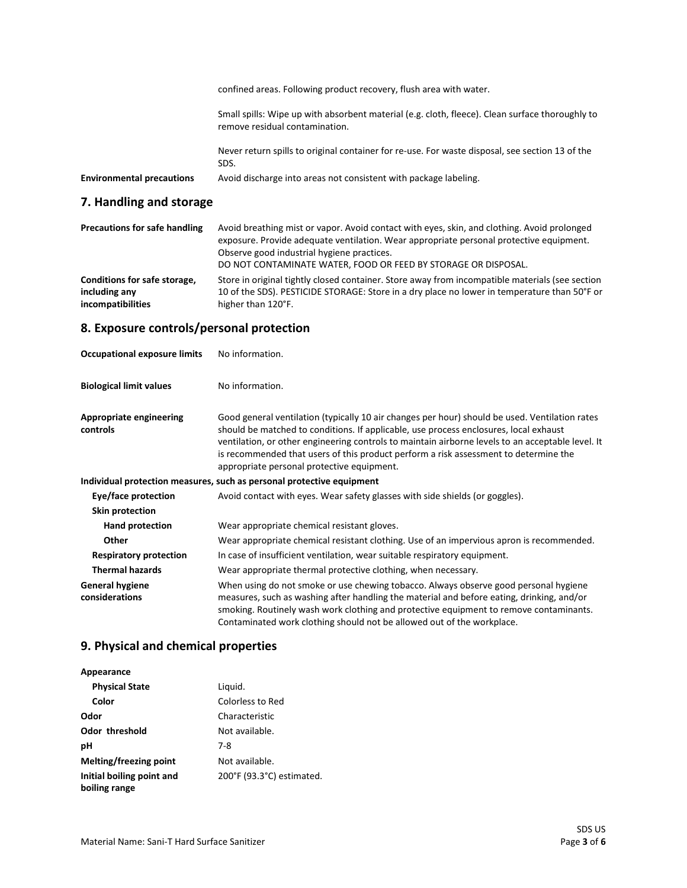|                                  | confined areas. Following product recovery, flush area with water.                                                                |
|----------------------------------|-----------------------------------------------------------------------------------------------------------------------------------|
|                                  | Small spills: Wipe up with absorbent material (e.g. cloth, fleece). Clean surface thoroughly to<br>remove residual contamination. |
|                                  | Never return spills to original container for re-use. For waste disposal, see section 13 of the<br>SDS.                           |
| <b>Environmental precautions</b> | Avoid discharge into areas not consistent with package labeling.                                                                  |

# **7. Handling and storage**

| <b>Precautions for safe handling</b>                               | Avoid breathing mist or vapor. Avoid contact with eyes, skin, and clothing. Avoid prolonged<br>exposure. Provide adequate ventilation. Wear appropriate personal protective equipment.<br>Observe good industrial hygiene practices.<br>DO NOT CONTAMINATE WATER, FOOD OR FEED BY STORAGE OR DISPOSAL. |
|--------------------------------------------------------------------|--------------------------------------------------------------------------------------------------------------------------------------------------------------------------------------------------------------------------------------------------------------------------------------------------------|
| Conditions for safe storage,<br>including any<br>incompatibilities | Store in original tightly closed container. Store away from incompatible materials (see section<br>10 of the SDS). PESTICIDE STORAGE: Store in a dry place no lower in temperature than 50°F or<br>higher than 120°F.                                                                                  |
|                                                                    |                                                                                                                                                                                                                                                                                                        |

# **8. Exposure controls/personal protection**

| <b>Occupational exposure limits</b>        | No information.                                                                                                                                                                                                                                                                                                                                                                                                                    |
|--------------------------------------------|------------------------------------------------------------------------------------------------------------------------------------------------------------------------------------------------------------------------------------------------------------------------------------------------------------------------------------------------------------------------------------------------------------------------------------|
| <b>Biological limit values</b>             | No information.                                                                                                                                                                                                                                                                                                                                                                                                                    |
| <b>Appropriate engineering</b><br>controls | Good general ventilation (typically 10 air changes per hour) should be used. Ventilation rates<br>should be matched to conditions. If applicable, use process enclosures, local exhaust<br>ventilation, or other engineering controls to maintain airborne levels to an acceptable level. It<br>is recommended that users of this product perform a risk assessment to determine the<br>appropriate personal protective equipment. |
|                                            | Individual protection measures, such as personal protective equipment                                                                                                                                                                                                                                                                                                                                                              |
| Eye/face protection                        | Avoid contact with eyes. Wear safety glasses with side shields (or goggles).                                                                                                                                                                                                                                                                                                                                                       |
| <b>Skin protection</b>                     |                                                                                                                                                                                                                                                                                                                                                                                                                                    |
| Hand protection                            | Wear appropriate chemical resistant gloves.                                                                                                                                                                                                                                                                                                                                                                                        |
| Other                                      | Wear appropriate chemical resistant clothing. Use of an impervious apron is recommended.                                                                                                                                                                                                                                                                                                                                           |
| <b>Respiratory protection</b>              | In case of insufficient ventilation, wear suitable respiratory equipment.                                                                                                                                                                                                                                                                                                                                                          |
| <b>Thermal hazards</b>                     | Wear appropriate thermal protective clothing, when necessary.                                                                                                                                                                                                                                                                                                                                                                      |
| <b>General hygiene</b><br>considerations   | When using do not smoke or use chewing tobacco. Always observe good personal hygiene<br>measures, such as washing after handling the material and before eating, drinking, and/or<br>smoking. Routinely wash work clothing and protective equipment to remove contaminants.<br>Contaminated work clothing should not be allowed out of the workplace.                                                                              |

# **9. Physical and chemical properties**

| Appearance                                 |                           |
|--------------------------------------------|---------------------------|
| <b>Physical State</b>                      | Liquid.                   |
| Color                                      | Colorless to Red          |
| Odor                                       | Characteristic            |
| <b>Odor threshold</b>                      | Not available.            |
| рH                                         | 7-8                       |
| Melting/freezing point                     | Not available.            |
| Initial boiling point and<br>boiling range | 200°F (93.3°C) estimated. |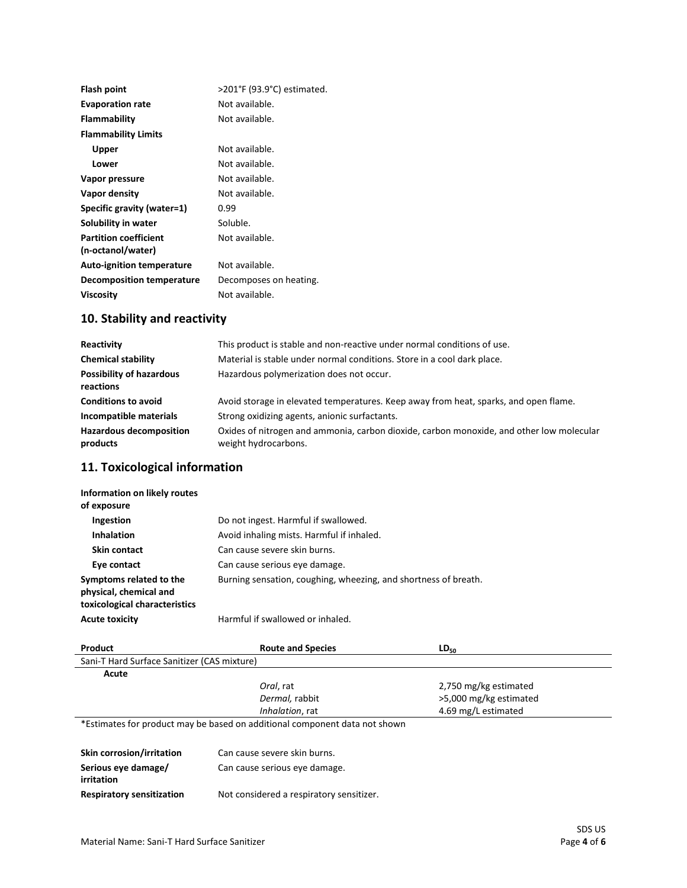| Not available.<br><b>Evaporation rate</b><br>Flammability<br>Not available.<br><b>Flammability Limits</b><br>Not available.<br>Upper<br>Not available.<br>Lower<br>Not available.<br>Vapor pressure<br>Not available.<br>Vapor density<br>Specific gravity (water=1)<br>0.99<br>Soluble.<br>Solubility in water |  |
|-----------------------------------------------------------------------------------------------------------------------------------------------------------------------------------------------------------------------------------------------------------------------------------------------------------------|--|
|                                                                                                                                                                                                                                                                                                                 |  |
|                                                                                                                                                                                                                                                                                                                 |  |
|                                                                                                                                                                                                                                                                                                                 |  |
|                                                                                                                                                                                                                                                                                                                 |  |
|                                                                                                                                                                                                                                                                                                                 |  |
|                                                                                                                                                                                                                                                                                                                 |  |
|                                                                                                                                                                                                                                                                                                                 |  |
|                                                                                                                                                                                                                                                                                                                 |  |
|                                                                                                                                                                                                                                                                                                                 |  |
| <b>Partition coefficient</b><br>Not available.<br>(n-octanol/water)                                                                                                                                                                                                                                             |  |
| Not available.<br><b>Auto-ignition temperature</b>                                                                                                                                                                                                                                                              |  |
| Decomposition temperature<br>Decomposes on heating.                                                                                                                                                                                                                                                             |  |
| Not available.<br><b>Viscosity</b>                                                                                                                                                                                                                                                                              |  |

# **10. Stability and reactivity**

| Reactivity                                   | This product is stable and non-reactive under normal conditions of use.                                          |
|----------------------------------------------|------------------------------------------------------------------------------------------------------------------|
| <b>Chemical stability</b>                    | Material is stable under normal conditions. Store in a cool dark place.                                          |
| <b>Possibility of hazardous</b><br>reactions | Hazardous polymerization does not occur.                                                                         |
| <b>Conditions to avoid</b>                   | Avoid storage in elevated temperatures. Keep away from heat, sparks, and open flame.                             |
| Incompatible materials                       | Strong oxidizing agents, anionic surfactants.                                                                    |
| <b>Hazardous decomposition</b><br>products   | Oxides of nitrogen and ammonia, carbon dioxide, carbon monoxide, and other low molecular<br>weight hydrocarbons. |

### **11. Toxicological information**

| Information on likely routes<br>of exposure                                        |                                                                 |
|------------------------------------------------------------------------------------|-----------------------------------------------------------------|
| Ingestion                                                                          | Do not ingest. Harmful if swallowed.                            |
| <b>Inhalation</b>                                                                  | Avoid inhaling mists. Harmful if inhaled.                       |
| Skin contact                                                                       | Can cause severe skin burns.                                    |
| Eye contact                                                                        | Can cause serious eye damage.                                   |
| Symptoms related to the<br>physical, chemical and<br>toxicological characteristics | Burning sensation, coughing, wheezing, and shortness of breath. |
| <b>Acute toxicity</b>                                                              | Harmful if swallowed or inhaled.                                |

| Product                                     | <b>Route and Species</b>                                                   | $LD_{50}$              |
|---------------------------------------------|----------------------------------------------------------------------------|------------------------|
| Sani-T Hard Surface Sanitizer (CAS mixture) |                                                                            |                        |
| Acute                                       |                                                                            |                        |
|                                             | Oral, rat                                                                  | 2,750 mg/kg estimated  |
|                                             | Dermal, rabbit                                                             | >5,000 mg/kg estimated |
|                                             | Inhalation, rat                                                            | 4.69 mg/L estimated    |
|                                             | *Estimates for product may be based on additional component data not shown |                        |

| Skin corrosion/irritation        | Can cause severe skin burns.             |
|----------------------------------|------------------------------------------|
| Serious eye damage/              | Can cause serious eye damage.            |
| irritation                       |                                          |
| <b>Respiratory sensitization</b> | Not considered a respiratory sensitizer. |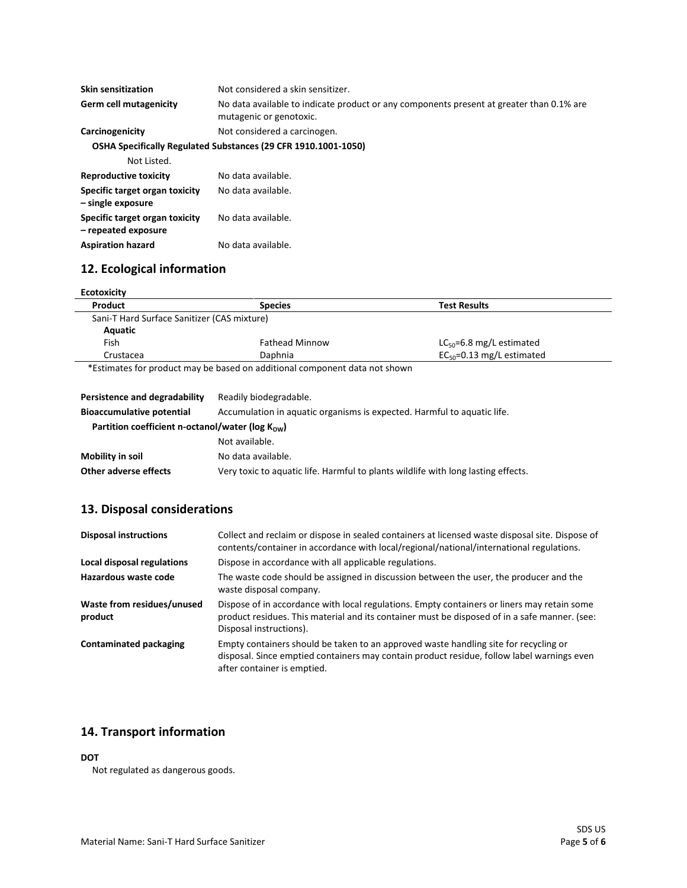| <b>Skin sensitization</b>                             | Not considered a skin sensitizer.                                                                                   |
|-------------------------------------------------------|---------------------------------------------------------------------------------------------------------------------|
| Germ cell mutagenicity                                | No data available to indicate product or any components present at greater than 0.1% are<br>mutagenic or genotoxic. |
| Carcinogenicity                                       | Not considered a carcinogen.                                                                                        |
|                                                       | OSHA Specifically Regulated Substances (29 CFR 1910.1001-1050)                                                      |
| Not Listed.                                           |                                                                                                                     |
| <b>Reproductive toxicity</b>                          | No data available.                                                                                                  |
| Specific target organ toxicity<br>- single exposure   | No data available.                                                                                                  |
| Specific target organ toxicity<br>- repeated exposure | No data available.                                                                                                  |

# **12. Ecological information**

Aspiration hazard **No data available**.

| Product                                     | <b>Species</b>        | <b>Test Results</b>             |
|---------------------------------------------|-----------------------|---------------------------------|
| Sani-T Hard Surface Sanitizer (CAS mixture) |                       |                                 |
| Aquatic                                     |                       |                                 |
| Fish                                        | <b>Fathead Minnow</b> | $LC_{50} = 6.8$ mg/L estimated  |
| Crustacea                                   | Daphnia               | $EC_{50} = 0.13$ mg/L estimated |

| Persistence and degradability                                 | Readily biodegradable.                                                            |
|---------------------------------------------------------------|-----------------------------------------------------------------------------------|
| <b>Bioaccumulative potential</b>                              | Accumulation in aquatic organisms is expected. Harmful to aquatic life.           |
| Partition coefficient n-octanol/water ( $log K_{\text{ow}}$ ) |                                                                                   |
|                                                               | Not available.                                                                    |
| Mobility in soil                                              | No data available.                                                                |
| Other adverse effects                                         | Very toxic to aquatic life. Harmful to plants wildlife with long lasting effects. |

### **13. Disposal considerations**

| <b>Disposal instructions</b>          | Collect and reclaim or dispose in sealed containers at licensed waste disposal site. Dispose of<br>contents/container in accordance with local/regional/national/international regulations.                             |
|---------------------------------------|-------------------------------------------------------------------------------------------------------------------------------------------------------------------------------------------------------------------------|
| Local disposal regulations            | Dispose in accordance with all applicable regulations.                                                                                                                                                                  |
| Hazardous waste code                  | The waste code should be assigned in discussion between the user, the producer and the<br>waste disposal company.                                                                                                       |
| Waste from residues/unused<br>product | Dispose of in accordance with local regulations. Empty containers or liners may retain some<br>product residues. This material and its container must be disposed of in a safe manner. (see:<br>Disposal instructions). |
| <b>Contaminated packaging</b>         | Empty containers should be taken to an approved waste handling site for recycling or<br>disposal. Since emptied containers may contain product residue, follow label warnings even<br>after container is emptied.       |

#### **14. Transport information**

#### **DOT**

Not regulated as dangerous goods.